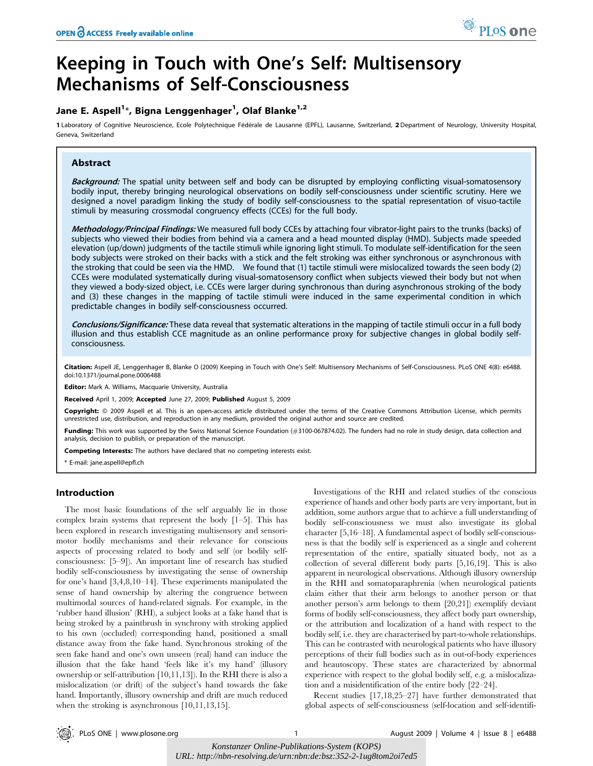# Keeping in Touch with One's Self: Multisensory Mechanisms of Self-Consciousness

## Jane E. Aspell<sup>1</sup>\*, Bigna Lenggenhager<sup>1</sup>, Olaf Blanke<sup>1,2</sup>

1 Laboratory of Cognitive Neuroscience, Ecole Polytechnique Fédérale de Lausanne (EPFL), Lausanne, Switzerland, 2 Department of Neurology, University Hospital, Geneva, Switzerland

## Abstract

Background: The spatial unity between self and body can be disrupted by employing conflicting visual-somatosensory bodily input, thereby bringing neurological observations on bodily self-consciousness under scientific scrutiny. Here we designed a novel paradigm linking the study of bodily self-consciousness to the spatial representation of visuo-tactile stimuli by measuring crossmodal congruency effects (CCEs) for the full body.

Methodology/Principal Findings: We measured full body CCEs by attaching four vibrator-light pairs to the trunks (backs) of subjects who viewed their bodies from behind via a camera and a head mounted display (HMD). Subjects made speeded elevation (up/down) judgments of the tactile stimuli while ignoring light stimuli. To modulate self-identification for the seen body subjects were stroked on their backs with a stick and the felt stroking was either synchronous or asynchronous with the stroking that could be seen via the HMD. We found that (1) tactile stimuli were mislocalized towards the seen body (2) CCEs were modulated systematically during visual-somatosensory conflict when subjects viewed their body but not when they viewed a body-sized object, i.e. CCEs were larger during synchronous than during asynchronous stroking of the body and (3) these changes in the mapping of tactile stimuli were induced in the same experimental condition in which predictable changes in bodily self-consciousness occurred.

Conclusions/Significance: These data reveal that systematic alterations in the mapping of tactile stimuli occur in a full body illusion and thus establish CCE magnitude as an online performance proxy for subjective changes in global bodily selfconsciousness.

Citation: Aspell JE, Lenggenhager B, Blanke O (2009) Keeping in Touch with One's Self: Multisensory Mechanisms of Self-Consciousness. PLoS ONE 4(8): e6488. doi:10.1371/journal.pone.0006488

Editor: Mark A. Williams, Macquarie University, Australia

Received April 1, 2009; Accepted June 27, 2009; Published August 5, 2009

Copyright: © 2009 Aspell et al. This is an open-access article distributed under the terms of the Creative Commons Attribution License, which permits unrestricted use, distribution, and reproduction in any medium, provided the original author and source are credited.

Funding: This work was supported by the Swiss National Science Foundation (#3100-067874.02). The funders had no role in study design, data collection and analysis, decision to publish, or preparation of the manuscript.

Competing Interests: The authors have declared that no competing interests exist.

\* E-mail: jane.aspell@epfl.ch

## Introduction

The most basic foundations of the self arguably lie in those complex brain systems that represent the body [1–5]. This has been explored in research investigating multisensory and sensorimotor bodily mechanisms and their relevance for conscious aspects of processing related to body and self (or bodily selfconsciousness: [5–9]). An important line of research has studied bodily self-consciousness by investigating the sense of ownership for one's hand [3,4,8,10–14]. These experiments manipulated the sense of hand ownership by altering the congruence between multimodal sources of hand-related signals. For example, in the 'rubber hand illusion' (RHI), a subject looks at a fake hand that is being stroked by a paintbrush in synchrony with stroking applied to his own (occluded) corresponding hand, positioned a small distance away from the fake hand. Synchronous stroking of the seen fake hand and one's own unseen (real) hand can induce the illusion that the fake hand 'feels like it's my hand' (illusory ownership or self-attribution [10,11,13]). In the RHI there is also a mislocalization (or drift) of the subject's hand towards the fake hand. Importantly, illusory ownership and drift are much reduced when the stroking is asynchronous  $[10,11,13,15]$ .

Investigations of the RHI and related studies of the conscious experience of hands and other body parts are very important, but in addition, some authors argue that to achieve a full understanding of bodily self-consciousness we must also investigate its global character [5,16–18]. A fundamental aspect of bodily self-consciousness is that the bodily self is experienced as a single and coherent representation of the entire, spatially situated body, not as a collection of several different body parts [5,16,19]. This is also apparent in neurological observations. Although illusory ownership in the RHI and somatoparaphrenia (when neurological patients claim either that their arm belongs to another person or that another person's arm belongs to them [20,21]) exemplify deviant forms of bodily self-consciousness, they affect body part ownership, or the attribution and localization of a hand with respect to the bodily self, i.e. they are characterised by part-to-whole relationships. This can be contrasted with neurological patients who have illusory perceptions of their full bodies such as in out-of-body experiences and heautoscopy. These states are characterized by abnormal experience with respect to the global bodily self, e.g. a mislocalization and a misidentification of the entire body [22–24].

Recent studies [17,18,25–27] have further demonstrated that global aspects of self-consciousness (self-location and self-identifi-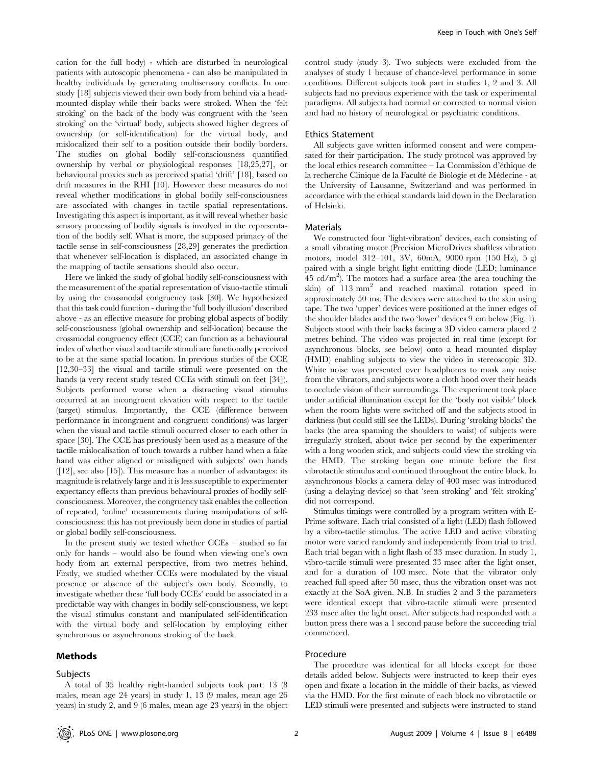cation for the full body) - which are disturbed in neurological patients with autoscopic phenomena - can also be manipulated in healthy individuals by generating multisensory conflicts. In one study [18] subjects viewed their own body from behind via a headmounted display while their backs were stroked. When the 'felt stroking' on the back of the body was congruent with the 'seen stroking' on the 'virtual' body, subjects showed higher degrees of ownership (or self-identification) for the virtual body, and mislocalized their self to a position outside their bodily borders. The studies on global bodily self-consciousness quantified ownership by verbal or physiological responses [18,25,27], or behavioural proxies such as perceived spatial 'drift' [18], based on drift measures in the RHI [10]. However these measures do not reveal whether modifications in global bodily self-consciousness are associated with changes in tactile spatial representations. Investigating this aspect is important, as it will reveal whether basic sensory processing of bodily signals is involved in the representation of the bodily self. What is more, the supposed primacy of the tactile sense in self-consciousness [28,29] generates the prediction that whenever self-location is displaced, an associated change in the mapping of tactile sensations should also occur.

Here we linked the study of global bodily self-consciousness with the measurement of the spatial representation of visuo-tactile stimuli by using the crossmodal congruency task [30]. We hypothesized that this task could function - during the 'full body illusion' described above - as an effective measure for probing global aspects of bodily self-consciousness (global ownership and self-location) because the crossmodal congruency effect (CCE) can function as a behavioural index of whether visual and tactile stimuli are functionally perceived to be at the same spatial location. In previous studies of the CCE [12,30–33] the visual and tactile stimuli were presented on the hands (a very recent study tested CCEs with stimuli on feet [34]). Subjects performed worse when a distracting visual stimulus occurred at an incongruent elevation with respect to the tactile (target) stimulus. Importantly, the CCE (difference between performance in incongruent and congruent conditions) was larger when the visual and tactile stimuli occurred closer to each other in space [30]. The CCE has previously been used as a measure of the tactile mislocalisation of touch towards a rubber hand when a fake hand was either aligned or misaligned with subjects' own hands  $([12]$ , see also  $[15]$ ). This measure has a number of advantages: its magnitude is relatively large and it is less susceptible to experimenter expectancy effects than previous behavioural proxies of bodily selfconsciousness. Moreover, the congruency task enables the collection of repeated, 'online' measurements during manipulations of selfconsciousness: this has not previously been done in studies of partial or global bodily self-consciousness.

In the present study we tested whether CCEs – studied so far only for hands – would also be found when viewing one's own body from an external perspective, from two metres behind. Firstly, we studied whether CCEs were modulated by the visual presence or absence of the subject's own body. Secondly, to investigate whether these 'full body CCEs' could be associated in a predictable way with changes in bodily self-consciousness, we kept the visual stimulus constant and manipulated self-identification with the virtual body and self-location by employing either synchronous or asynchronous stroking of the back.

### Methods

#### Subjects

control study (study 3). Two subjects were excluded from the analyses of study 1 because of chance-level performance in some conditions. Different subjects took part in studies 1, 2 and 3. All subjects had no previous experience with the task or experimental paradigms. All subjects had normal or corrected to normal vision and had no history of neurological or psychiatric conditions.

#### Ethics Statement

All subjects gave written informed consent and were compensated for their participation. The study protocol was approved by the local ethics research committee – La Commission d'éthique de la recherche Clinique de la Faculté de Biologie et de Médecine - at the University of Lausanne, Switzerland and was performed in accordance with the ethical standards laid down in the Declaration of Helsinki.

## Materials

We constructed four 'light-vibration' devices, each consisting of a small vibrating motor (Precision MicroDrives shaftless vibration motors, model 312–101, 3V, 60mA, 9000 rpm (150 Hz), 5 g) paired with a single bright light emitting diode (LED; luminance  $45$  cd/m<sup>2</sup>). The motors had a surface area (the area touching the skin) of 113 mm<sup>2</sup> and reached maximal rotation speed in approximately 50 ms. The devices were attached to the skin using tape. The two 'upper' devices were positioned at the inner edges of the shoulder blades and the two 'lower' devices 9 cm below (Fig. 1). Subjects stood with their backs facing a 3D video camera placed 2 metres behind. The video was projected in real time (except for asynchronous blocks, see below) onto a head mounted display (HMD) enabling subjects to view the video in stereoscopic 3D. White noise was presented over headphones to mask any noise from the vibrators, and subjects wore a cloth hood over their heads to occlude vision of their surroundings. The experiment took place under artificial illumination except for the 'body not visible' block when the room lights were switched off and the subjects stood in darkness (but could still see the LEDs). During 'stroking blocks' the backs (the area spanning the shoulders to waist) of subjects were irregularly stroked, about twice per second by the experimenter with a long wooden stick, and subjects could view the stroking via the HMD. The stroking began one minute before the first vibrotactile stimulus and continued throughout the entire block. In asynchronous blocks a camera delay of 400 msec was introduced (using a delaying device) so that 'seen stroking' and 'felt stroking' did not correspond.

Stimulus timings were controlled by a program written with E-Prime software. Each trial consisted of a light (LED) flash followed by a vibro-tactile stimulus. The active LED and active vibrating motor were varied randomly and independently from trial to trial. Each trial began with a light flash of 33 msec duration. In study 1, vibro-tactile stimuli were presented 33 msec after the light onset, and for a duration of 100 msec. Note that the vibrator only reached full speed after 50 msec, thus the vibration onset was not exactly at the SoA given. N.B. In studies 2 and 3 the parameters were identical except that vibro-tactile stimuli were presented 233 msec after the light onset. After subjects had responded with a button press there was a 1 second pause before the succeeding trial commenced.

## Procedure

The procedure was identical for all blocks except for those details added below. Subjects were instructed to keep their eyes open and fixate a location in the middle of their backs, as viewed via the HMD. For the first minute of each block no vibrotactile or LED stimuli were presented and subjects were instructed to stand

A total of 35 healthy right-handed subjects took part: 13 (8 males, mean age 24 years) in study 1, 13 (9 males, mean age 26 years) in study 2, and 9 (6 males, mean age 23 years) in the object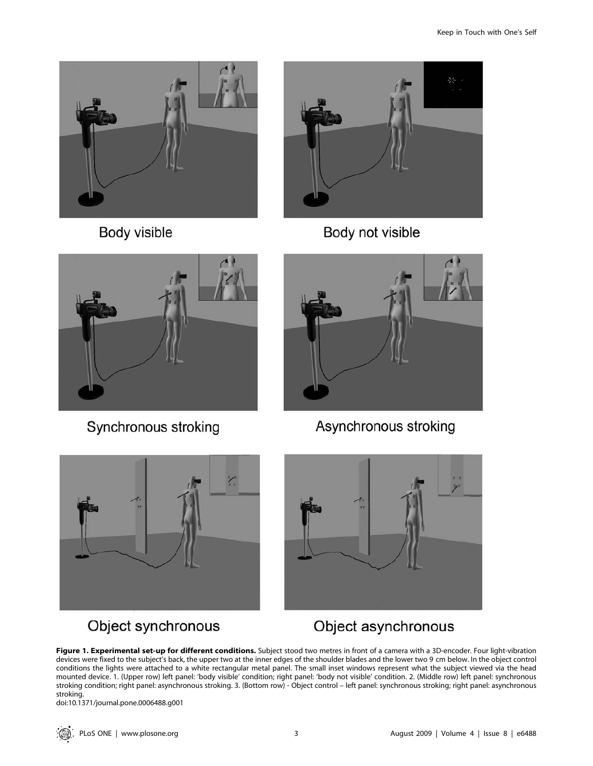

Body visible



Body not visible



Synchronous stroking



Asynchronous stroking





# Object synchronous

Object asynchronous

Figure 1. Experimental set-up for different conditions. Subject stood two metres in front of a camera with a 3D-encoder. Four light-vibration devices were fixed to the subject's back, the upper two at the inner edges of the shoulder blades and the lower two 9 cm below. In the object control conditions the lights were attached to a white rectangular metal panel. The small inset windows represent what the subject viewed via the head mounted device. 1. (Upper row) left panel: 'body visible' condition; right panel: 'body not visible' condition. 2. (Middle row) left panel: synchronous stroking condition; right panel: asynchronous stroking. 3. (Bottom row) - Object control – left panel: synchronous stroking; right panel: asynchronous stroking.

doi:10.1371/journal.pone.0006488.g001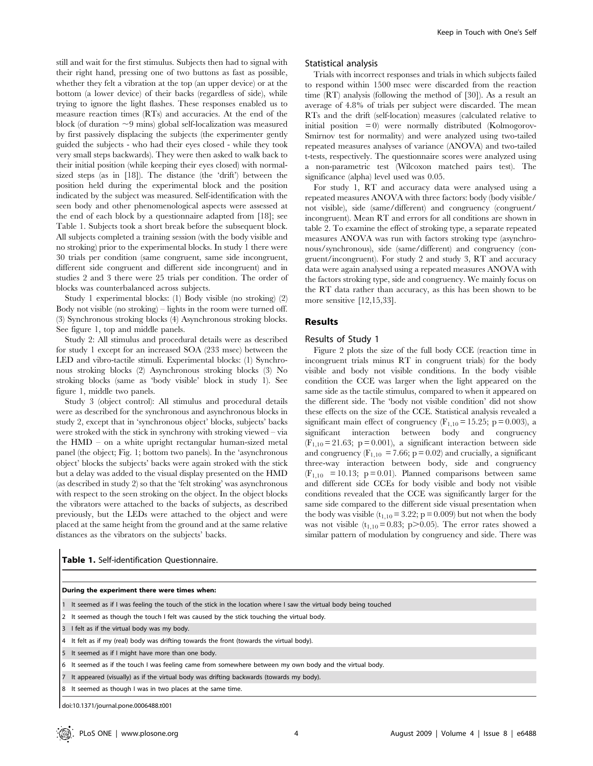still and wait for the first stimulus. Subjects then had to signal with their right hand, pressing one of two buttons as fast as possible, whether they felt a vibration at the top (an upper device) or at the bottom (a lower device) of their backs (regardless of side), while trying to ignore the light flashes. These responses enabled us to measure reaction times (RTs) and accuracies. At the end of the block (of duration  $\sim$ 9 mins) global self-localization was measured by first passively displacing the subjects (the experimenter gently guided the subjects - who had their eyes closed - while they took very small steps backwards). They were then asked to walk back to their initial position (while keeping their eyes closed) with normalsized steps (as in [18]). The distance (the 'drift') between the position held during the experimental block and the position indicated by the subject was measured. Self-identification with the seen body and other phenomenological aspects were assessed at the end of each block by a questionnaire adapted from [18]; see Table 1. Subjects took a short break before the subsequent block. All subjects completed a training session (with the body visible and no stroking) prior to the experimental blocks. In study 1 there were 30 trials per condition (same congruent, same side incongruent, different side congruent and different side incongruent) and in studies 2 and 3 there were 25 trials per condition. The order of blocks was counterbalanced across subjects.

Study 1 experimental blocks: (1) Body visible (no stroking) (2) Body not visible (no stroking) – lights in the room were turned off. (3) Synchronous stroking blocks (4) Asynchronous stroking blocks. See figure 1, top and middle panels.

Study 2: All stimulus and procedural details were as described for study 1 except for an increased SOA (233 msec) between the LED and vibro-tactile stimuli. Experimental blocks: (1) Synchronous stroking blocks (2) Asynchronous stroking blocks (3) No stroking blocks (same as 'body visible' block in study 1). See figure 1, middle two panels.

Study 3 (object control): All stimulus and procedural details were as described for the synchronous and asynchronous blocks in study 2, except that in 'synchronous object' blocks, subjects' backs were stroked with the stick in synchrony with stroking viewed – via the HMD – on a white upright rectangular human-sized metal panel (the object; Fig. 1; bottom two panels). In the 'asynchronous object' blocks the subjects' backs were again stroked with the stick but a delay was added to the visual display presented on the HMD (as described in study 2) so that the 'felt stroking' was asynchronous with respect to the seen stroking on the object. In the object blocks the vibrators were attached to the backs of subjects, as described previously, but the LEDs were attached to the object and were placed at the same height from the ground and at the same relative distances as the vibrators on the subjects' backs.

#### Statistical analysis

Trials with incorrect responses and trials in which subjects failed to respond within 1500 msec were discarded from the reaction time (RT) analysis (following the method of [30]). As a result an average of 4.8% of trials per subject were discarded. The mean RTs and the drift (self-location) measures (calculated relative to initial position  $= 0$ ) were normally distributed (Kolmogorov-Smirnov test for normality) and were analyzed using two-tailed repeated measures analyses of variance (ANOVA) and two-tailed t-tests, respectively. The questionnaire scores were analyzed using a non-parametric test (Wilcoxon matched pairs test). The significance (alpha) level used was 0.05.

For study 1, RT and accuracy data were analysed using a repeated measures ANOVA with three factors: body (body visible/ not visible), side (same/different) and congruency (congruent/ incongruent). Mean RT and errors for all conditions are shown in table 2. To examine the effect of stroking type, a separate repeated measures ANOVA was run with factors stroking type (asynchronous/synchronous), side (same/different) and congruency (congruent/incongruent). For study 2 and study 3, RT and accuracy data were again analysed using a repeated measures ANOVA with the factors stroking type, side and congruency. We mainly focus on the RT data rather than accuracy, as this has been shown to be more sensitive [12,15,33].

### Results

#### Results of Study 1

Figure 2 plots the size of the full body CCE (reaction time in incongruent trials minus RT in congruent trials) for the body visible and body not visible conditions. In the body visible condition the CCE was larger when the light appeared on the same side as the tactile stimulus, compared to when it appeared on the different side. The 'body not visible condition' did not show these effects on the size of the CCE. Statistical analysis revealed a significant main effect of congruency ( $F_{1,10} = 15.25$ ; p = 0.003), a significant interaction between body and congruency  $(F<sub>1.10</sub> = 21.63; p = 0.001)$ , a significant interaction between side and congruency ( $F_{1,10} = 7.66$ ; p = 0.02) and crucially, a significant three-way interaction between body, side and congruency  $(F<sub>1,10</sub> = 10.13; p = 0.01)$ . Planned comparisons between same and different side CCEs for body visible and body not visible conditions revealed that the CCE was significantly larger for the same side compared to the different side visual presentation when the body was visible  $(t_{1,10} = 3.22; p = 0.009)$  but not when the body was not visible  $(t_{1,10} = 0.83; p > 0.05)$ . The error rates showed a similar pattern of modulation by congruency and side. There was

Table 1. Self-identification Questionnaire.

## During the experiment there were times when: 1 It seemed as if I was feeling the touch of the stick in the location where I saw the virtual body being touched

- 
- 2 It seemed as though the touch I felt was caused by the stick touching the virtual body.
- 3 I felt as if the virtual body was my body.
- 4 It felt as if my (real) body was drifting towards the front (towards the virtual body).
- 5 It seemed as if I might have more than one body.
- 6 It seemed as if the touch I was feeling came from somewhere between my own body and the virtual body.
- 7 It appeared (visually) as if the virtual body was drifting backwards (towards my body).
- 8 It seemed as though I was in two places at the same time.

doi:10.1371/journal.pone.0006488.t001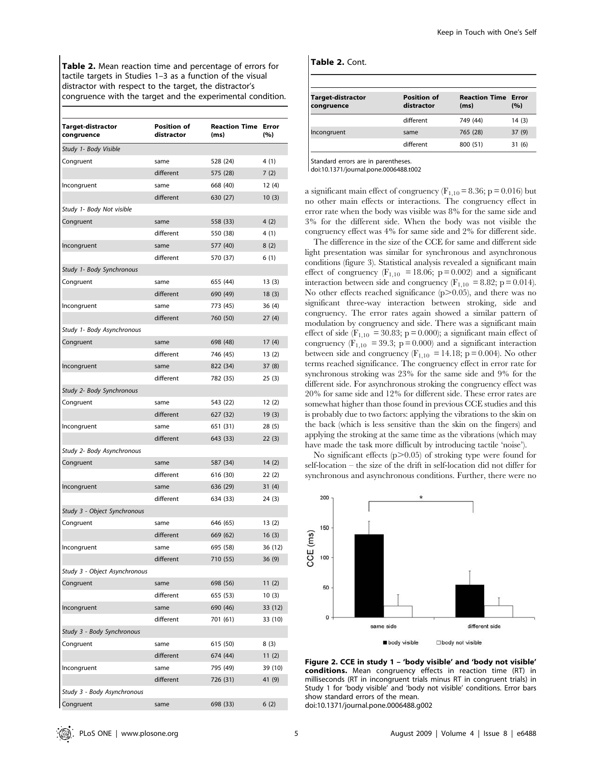Table 2. Mean reaction time and percentage of errors for tactile targets in Studies 1–3 as a function of the visual distractor with respect to the target, the distractor's congruence with the target and the experimental condition.

| Target-distractor<br>congruence | <b>Position of</b><br>distractor | <b>Reaction Time</b><br>(ms) | Error<br>(%) |
|---------------------------------|----------------------------------|------------------------------|--------------|
| Study 1- Body Visible           |                                  |                              |              |
| Congruent                       | same                             | 528 (24)                     | 4 (1)        |
|                                 | different                        | 575 (28)                     | 7(2)         |
| Incongruent                     | same                             | 668 (40)                     | 12 (4)       |
|                                 | different                        | 630 (27)                     | 10(3)        |
| Study 1- Body Not visible       |                                  |                              |              |
| Congruent                       | same                             | 558 (33)                     | 4(2)         |
|                                 | different                        | 550 (38)                     | 4 (1)        |
| Incongruent                     | same                             | 577 (40)                     | 8(2)         |
|                                 | different                        | 570 (37)                     | 6 (1)        |
| Study 1- Body Synchronous       |                                  |                              |              |
| Congruent                       | same                             | 655 (44)                     | 13(3)        |
|                                 | different                        | 690 (49)                     | 18 (3)       |
| Incongruent                     | same                             | 773 (45)                     | 36 (4)       |
|                                 | different                        | 760 (50)                     | 27(4)        |
| Study 1- Body Asynchronous      |                                  |                              |              |
| Congruent                       | same                             | 698 (48)                     | 17(4)        |
|                                 | different                        | 746 (45)                     | 13(2)        |
| Incongruent                     | same                             | 822 (34)                     | 37(8)        |
|                                 | different                        | 782 (35)                     | 25 (3)       |
| Study 2- Body Synchronous       |                                  |                              |              |
| Congruent                       | same                             | 543 (22)                     | 12(2)        |
|                                 | different                        | 627 (32)                     | 19 (3)       |
| Incongruent                     | same                             | 651 (31)                     | 28(5)        |
|                                 | different                        | 643 (33)                     | 22(3)        |
| Study 2- Body Asynchronous      |                                  |                              |              |
| Congruent                       | same                             | 587 (34)                     | 14 (2)       |
|                                 | different                        | 616 (30)                     | 22(2)        |
| Incongruent                     | same                             | 636 (29)                     | 31 (4)       |
|                                 | different                        | 634 (33)                     | 24 (3)       |
| Study 3 - Object Synchronous    |                                  |                              |              |
| Congruent                       | same                             | 646 (65)                     | 13(2)        |
|                                 | different                        | 669 (62)                     | 16(3)        |
| Incongruent                     | same                             | 695 (58)                     | 36 (12)      |
|                                 | different                        | 710 (55)                     | 36(9)        |
| Study 3 - Object Asynchronous   |                                  |                              |              |
| Congruent                       | same                             | 698 (56)                     | 11(2)        |
|                                 | different                        | 655 (53)                     | 10(3)        |
| Incongruent                     | same                             | 690 (46)                     | 33 (12)      |
|                                 | different                        | 701 (61)                     | 33 (10)      |
| Study 3 - Body Synchronous      |                                  |                              |              |
| Congruent                       | same                             | 615 (50)                     | 8 (3)        |
|                                 | different                        | 674 (44)                     | 11(2)        |
| Incongruent                     | same                             | 795 (49)                     | 39 (10)      |
|                                 | different                        | 726 (31)                     | 41 (9)       |
| Study 3 - Body Asynchronous     |                                  |                              |              |
| Congruent                       | same                             | 698 (33)                     | 6(2)         |

| Table 2. Cont. |  |
|----------------|--|
|----------------|--|

| <b>Target-distractor</b><br>congruence | <b>Position of</b><br>distractor | <b>Reaction Time Error</b><br>(ms) | (%)   |
|----------------------------------------|----------------------------------|------------------------------------|-------|
|                                        | different                        | 749 (44)                           | 14(3) |
| Incongruent                            | same                             | 765 (28)                           | 37(9) |
|                                        | different                        | 800 (51)                           | 31(6) |

Standard errors are in parentheses.

doi:10.1371/journal.pone.0006488.t002

a significant main effect of congruency  $(F_{1,10} = 8.36; p = 0.016)$  but no other main effects or interactions. The congruency effect in error rate when the body was visible was 8% for the same side and 3% for the different side. When the body was not visible the congruency effect was 4% for same side and 2% for different side.

The difference in the size of the CCE for same and different side light presentation was similar for synchronous and asynchronous conditions (figure 3). Statistical analysis revealed a significant main effect of congruency  $(F_{1,10} = 18.06; p = 0.002)$  and a significant interaction between side and congruency  $(F_{1,10} = 8.82; p = 0.014)$ . No other effects reached significance  $(p>0.05)$ , and there was no significant three-way interaction between stroking, side and congruency. The error rates again showed a similar pattern of modulation by congruency and side. There was a significant main effect of side ( $F_{1,10}$  = 30.83; p = 0.000); a significant main effect of congruency ( $F_{1,10}$  = 39.3; p = 0.000) and a significant interaction between side and congruency  $(F_{1,10} = 14.18; p = 0.004)$ . No other terms reached significance. The congruency effect in error rate for synchronous stroking was 23% for the same side and 9% for the different side. For asynchronous stroking the congruency effect was 20% for same side and 12% for different side. These error rates are somewhat higher than those found in previous CCE studies and this is probably due to two factors: applying the vibrations to the skin on the back (which is less sensitive than the skin on the fingers) and applying the stroking at the same time as the vibrations (which may have made the task more difficult by introducing tactile 'noise').

No significant effects  $(p>0.05)$  of stroking type were found for self-location – the size of the drift in self-location did not differ for synchronous and asynchronous conditions. Further, there were no



Figure 2. CCE in study 1 – 'body visible' and 'body not visible' conditions. Mean congruency effects in reaction time (RT) in milliseconds (RT in incongruent trials minus RT in congruent trials) in Study 1 for 'body visible' and 'body not visible' conditions. Error bars show standard errors of the mean.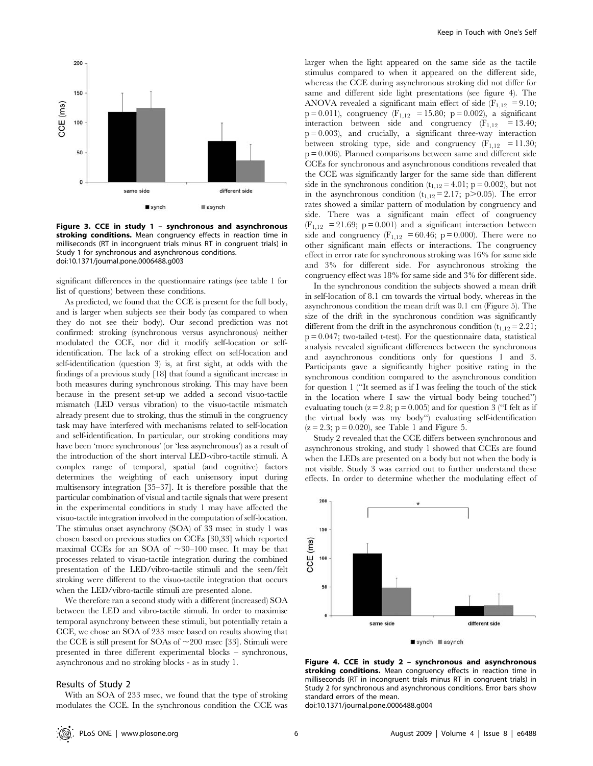

Figure 3. CCE in study 1 – synchronous and asynchronous stroking conditions. Mean congruency effects in reaction time in milliseconds (RT in incongruent trials minus RT in congruent trials) in Study 1 for synchronous and asynchronous conditions. doi:10.1371/journal.pone.0006488.g003

significant differences in the questionnaire ratings (see table 1 for list of questions) between these conditions.

As predicted, we found that the CCE is present for the full body, and is larger when subjects see their body (as compared to when they do not see their body). Our second prediction was not confirmed: stroking (synchronous versus asynchronous) neither modulated the CCE, nor did it modify self-location or selfidentification. The lack of a stroking effect on self-location and self-identification (question 3) is, at first sight, at odds with the findings of a previous study [18] that found a significant increase in both measures during synchronous stroking. This may have been because in the present set-up we added a second visuo-tactile mismatch (LED versus vibration) to the visuo-tactile mismatch already present due to stroking, thus the stimuli in the congruency task may have interfered with mechanisms related to self-location and self-identification. In particular, our stroking conditions may have been 'more synchronous' (or 'less asynchronous') as a result of the introduction of the short interval LED-vibro-tactile stimuli. A complex range of temporal, spatial (and cognitive) factors determines the weighting of each unisensory input during multisensory integration [35–37]. It is therefore possible that the particular combination of visual and tactile signals that were present in the experimental conditions in study 1 may have affected the visuo-tactile integration involved in the computation of self-location. The stimulus onset asynchrony (SOA) of 33 msec in study 1 was chosen based on previous studies on CCEs [30,33] which reported maximal CCEs for an SOA of  $\sim$ 30–100 msec. It may be that processes related to visuo-tactile integration during the combined presentation of the LED/vibro-tactile stimuli and the seen/felt stroking were different to the visuo-tactile integration that occurs when the LED/vibro-tactile stimuli are presented alone.

We therefore ran a second study with a different (increased) SOA between the LED and vibro-tactile stimuli. In order to maximise temporal asynchrony between these stimuli, but potentially retain a CCE, we chose an SOA of 233 msec based on results showing that the CCE is still present for SOAs of  $\sim$ 200 msec [33]. Stimuli were presented in three different experimental blocks – synchronous, asynchronous and no stroking blocks - as in study 1.

#### Results of Study 2

With an SOA of 233 msec, we found that the type of stroking modulates the CCE. In the synchronous condition the CCE was

larger when the light appeared on the same side as the tactile stimulus compared to when it appeared on the different side, whereas the CCE during asynchronous stroking did not differ for same and different side light presentations (see figure 4). The ANOVA revealed a significant main effect of side  $(F_{1,12} = 9.10;$  $p = 0.011$ ), congruency ( $F_{1,12} = 15.80$ ;  $p = 0.002$ ), a significant interaction between side and congruency  $(F_{1,12} = 13.40;$  $p = 0.003$ , and crucially, a significant three-way interaction between stroking type, side and congruency  $(F_{1,12} = 11.30)$ ;  $p = 0.006$ ). Planned comparisons between same and different side CCEs for synchronous and asynchronous conditions revealed that the CCE was significantly larger for the same side than different side in the synchronous condition  $(t_{1,12} = 4.01; p = 0.002)$ , but not in the asynchronous condition  $(t_{1,12}= 2.17; p>0.05)$ . The error rates showed a similar pattern of modulation by congruency and side. There was a significant main effect of congruency  $(F<sub>1,12</sub> = 21.69; p = 0.001)$  and a significant interaction between side and congruency ( $F_{1,12} = 60.46$ ; p = 0.000). There were no other significant main effects or interactions. The congruency effect in error rate for synchronous stroking was 16% for same side and 3% for different side. For asynchronous stroking the congruency effect was 18% for same side and 3% for different side.

In the synchronous condition the subjects showed a mean drift in self-location of 8.1 cm towards the virtual body, whereas in the asynchronous condition the mean drift was 0.1 cm (Figure 5). The size of the drift in the synchronous condition was significantly different from the drift in the asynchronous condition  $(t_{1,12}) = 2.21$ ;  $p = 0.047$ ; two-tailed t-test). For the questionnaire data, statistical analysis revealed significant differences between the synchronous and asynchronous conditions only for questions 1 and 3. Participants gave a significantly higher positive rating in the synchronous condition compared to the asynchronous condition for question 1 (''It seemed as if I was feeling the touch of the stick in the location where I saw the virtual body being touched'') evaluating touch  $(z = 2.8; p = 0.005)$  and for question 3 ("I felt as if the virtual body was my body'') evaluating self-identification  $(z = 2.3; p = 0.020)$ , see Table 1 and Figure 5.

Study 2 revealed that the CCE differs between synchronous and asynchronous stroking, and study 1 showed that CCEs are found when the LEDs are presented on a body but not when the body is not visible. Study 3 was carried out to further understand these effects. In order to determine whether the modulating effect of



Figure 4. CCE in study 2 – synchronous and asynchronous stroking conditions. Mean congruency effects in reaction time in milliseconds (RT in incongruent trials minus RT in congruent trials) in Study 2 for synchronous and asynchronous conditions. Error bars show standard errors of the mean.

doi:10.1371/journal.pone.0006488.g004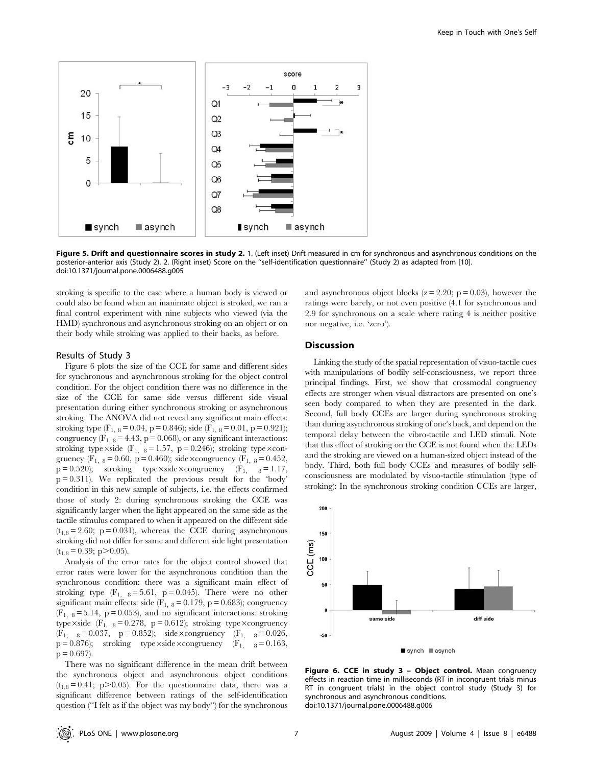

Figure 5. Drift and questionnaire scores in study 2. 1. (Left inset) Drift measured in cm for synchronous and asynchronous conditions on the posterior-anterior axis (Study 2). 2. (Right inset) Score on the ''self-identification questionnaire'' (Study 2) as adapted from [10]. doi:10.1371/journal.pone.0006488.g005

stroking is specific to the case where a human body is viewed or could also be found when an inanimate object is stroked, we ran a final control experiment with nine subjects who viewed (via the HMD) synchronous and asynchronous stroking on an object or on their body while stroking was applied to their backs, as before.

#### Results of Study 3

Figure 6 plots the size of the CCE for same and different sides for synchronous and asynchronous stroking for the object control condition. For the object condition there was no difference in the size of the CCE for same side versus different side visual presentation during either synchronous stroking or asynchronous stroking. The ANOVA did not reveal any significant main effects: stroking type  $(F_{1, 8} = 0.04, p = 0.846)$ ; side  $(F_{1, 8} = 0.01, p = 0.921)$ ; congruency ( $F_{1, 8} = 4.43$ , p = 0.068), or any significant interactions: stroking type $\times$ side (F<sub>1, 8</sub> = 1.57, p = 0.246); stroking type $\times$ congruency (F<sub>1, 8</sub> = 0.60, p = 0.460); side  $\times$ congruency (F<sub>1, 8</sub> = 0.452,  $p = 0.520$ ; stroking type $\times$ side $\times$ congruency (F<sub>1, 8</sub>= 1.17,  $p = 0.311$ ). We replicated the previous result for the 'body' condition in this new sample of subjects, i.e. the effects confirmed those of study 2: during synchronous stroking the CCE was significantly larger when the light appeared on the same side as the tactile stimulus compared to when it appeared on the different side  $(t_{1,8}= 2.60; \ p = 0.031)$ , whereas the CCE during asynchronous stroking did not differ for same and different side light presentation  $(t_{1,8}= 0.39; p>0.05)$ .

Analysis of the error rates for the object control showed that error rates were lower for the asynchronous condition than the synchronous condition: there was a significant main effect of stroking type  $(F_{1, 8} = 5.61, p = 0.045)$ . There were no other significant main effects: side  $(F_{1, 8} = 0.179, p = 0.683)$ ; congruency  $(F<sub>1, 8</sub> = 5.14, p = 0.053)$ , and no significant interactions: stroking type  $\times$ side (F<sub>1, 8</sub> = 0.278, p = 0.612); stroking type  $\times$ congruency  $(F_1, 8= 0.037, p = 0.852);$  side×congruency  $(F_1, 8= 0.026,$  $p = 0.876$ ; stroking type  $\times$ side  $\times$ congruency (F<sub>1, 8</sub>= 0.163,  $p = 0.697$ .

There was no significant difference in the mean drift between the synchronous object and asynchronous object conditions  $(t_{1,8}= 0.41; p>0.05)$ . For the questionnaire data, there was a significant difference between ratings of the self-identification question (''I felt as if the object was my body'') for the synchronous and asynchronous object blocks  $(z = 2.20; p = 0.03)$ , however the ratings were barely, or not even positive (4.1 for synchronous and 2.9 for synchronous on a scale where rating 4 is neither positive nor negative, i.e. 'zero').

## **Discussion**

Linking the study of the spatial representation of visuo-tactile cues with manipulations of bodily self-consciousness, we report three principal findings. First, we show that crossmodal congruency effects are stronger when visual distractors are presented on one's seen body compared to when they are presented in the dark. Second, full body CCEs are larger during synchronous stroking than during asynchronous stroking of one's back, and depend on the temporal delay between the vibro-tactile and LED stimuli. Note that this effect of stroking on the CCE is not found when the LEDs and the stroking are viewed on a human-sized object instead of the body. Third, both full body CCEs and measures of bodily selfconsciousness are modulated by visuo-tactile stimulation (type of stroking): In the synchronous stroking condition CCEs are larger,



Figure 6. CCE in study 3 - Object control. Mean congruency effects in reaction time in milliseconds (RT in incongruent trials minus RT in congruent trials) in the object control study (Study 3) for synchronous and asynchronous conditions. doi:10.1371/journal.pone.0006488.g006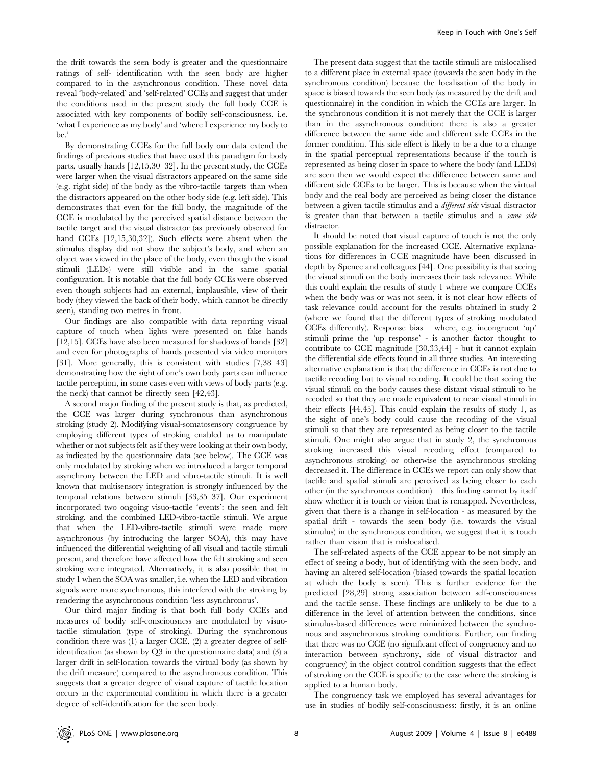the drift towards the seen body is greater and the questionnaire ratings of self- identification with the seen body are higher compared to in the asynchronous condition. These novel data reveal 'body-related' and 'self-related' CCEs and suggest that under the conditions used in the present study the full body CCE is associated with key components of bodily self-consciousness, i.e. 'what I experience as my body' and 'where I experience my body to be.'

By demonstrating CCEs for the full body our data extend the findings of previous studies that have used this paradigm for body parts, usually hands [12,15,30–32]. In the present study, the CCEs were larger when the visual distractors appeared on the same side (e.g. right side) of the body as the vibro-tactile targets than when the distractors appeared on the other body side (e.g. left side). This demonstrates that even for the full body, the magnitude of the CCE is modulated by the perceived spatial distance between the tactile target and the visual distractor (as previously observed for hand CCEs [12,15,30,32]). Such effects were absent when the stimulus display did not show the subject's body, and when an object was viewed in the place of the body, even though the visual stimuli (LEDs) were still visible and in the same spatial configuration. It is notable that the full body CCEs were observed even though subjects had an external, implausible, view of their body (they viewed the back of their body, which cannot be directly seen), standing two metres in front.

Our findings are also compatible with data reporting visual capture of touch when lights were presented on fake hands [12,15]. CCEs have also been measured for shadows of hands [32] and even for photographs of hands presented via video monitors [31]. More generally, this is consistent with studies [7,38–43] demonstrating how the sight of one's own body parts can influence tactile perception, in some cases even with views of body parts (e.g. the neck) that cannot be directly seen [42,43].

A second major finding of the present study is that, as predicted, the CCE was larger during synchronous than asynchronous stroking (study 2). Modifying visual-somatosensory congruence by employing different types of stroking enabled us to manipulate whether or not subjects felt as if they were looking at their own body, as indicated by the questionnaire data (see below). The CCE was only modulated by stroking when we introduced a larger temporal asynchrony between the LED and vibro-tactile stimuli. It is well known that multisensory integration is strongly influenced by the temporal relations between stimuli [33,35–37]. Our experiment incorporated two ongoing visuo-tactile 'events': the seen and felt stroking, and the combined LED-vibro-tactile stimuli. We argue that when the LED-vibro-tactile stimuli were made more asynchronous (by introducing the larger SOA), this may have influenced the differential weighting of all visual and tactile stimuli present, and therefore have affected how the felt stroking and seen stroking were integrated. Alternatively, it is also possible that in study 1 when the SOA was smaller, i.e. when the LED and vibration signals were more synchronous, this interfered with the stroking by rendering the asynchronous condition 'less asynchronous'.

Our third major finding is that both full body CCEs and measures of bodily self-consciousness are modulated by visuotactile stimulation (type of stroking). During the synchronous condition there was (1) a larger CCE, (2) a greater degree of selfidentification (as shown by Q3 in the questionnaire data) and (3) a larger drift in self-location towards the virtual body (as shown by the drift measure) compared to the asynchronous condition. This suggests that a greater degree of visual capture of tactile location occurs in the experimental condition in which there is a greater degree of self-identification for the seen body.

The present data suggest that the tactile stimuli are mislocalised to a different place in external space (towards the seen body in the synchronous condition) because the localisation of the body in space is biased towards the seen body (as measured by the drift and questionnaire) in the condition in which the CCEs are larger. In the synchronous condition it is not merely that the CCE is larger than in the asynchronous condition: there is also a greater difference between the same side and different side CCEs in the former condition. This side effect is likely to be a due to a change in the spatial perceptual representations because if the touch is represented as being closer in space to where the body (and LEDs) are seen then we would expect the difference between same and different side CCEs to be larger. This is because when the virtual body and the real body are perceived as being closer the distance between a given tactile stimulus and a different side visual distractor is greater than that between a tactile stimulus and a same side distractor.

It should be noted that visual capture of touch is not the only possible explanation for the increased CCE. Alternative explanations for differences in CCE magnitude have been discussed in depth by Spence and colleagues [44]. One possibility is that seeing the visual stimuli on the body increases their task relevance. While this could explain the results of study 1 where we compare CCEs when the body was or was not seen, it is not clear how effects of task relevance could account for the results obtained in study 2 (where we found that the different types of stroking modulated CCEs differently). Response bias – where, e.g. incongruent 'up' stimuli prime the 'up response' - is another factor thought to contribute to CCE magnitude [30,33,44] - but it cannot explain the differential side effects found in all three studies. An interesting alternative explanation is that the difference in CCEs is not due to tactile recoding but to visual recoding. It could be that seeing the visual stimuli on the body causes these distant visual stimuli to be recoded so that they are made equivalent to near visual stimuli in their effects [44,45]. This could explain the results of study 1, as the sight of one's body could cause the recoding of the visual stimuli so that they are represented as being closer to the tactile stimuli. One might also argue that in study 2, the synchronous stroking increased this visual recoding effect (compared to asynchronous stroking) or otherwise the asynchronous stroking decreased it. The difference in CCEs we report can only show that tactile and spatial stimuli are perceived as being closer to each other (in the synchronous condition) – this finding cannot by itself show whether it is touch or vision that is remapped. Nevertheless, given that there is a change in self-location - as measured by the spatial drift - towards the seen body (i.e. towards the visual stimulus) in the synchronous condition, we suggest that it is touch rather than vision that is mislocalised.

The self-related aspects of the CCE appear to be not simply an effect of seeing a body, but of identifying with the seen body, and having an altered self-location (biased towards the spatial location at which the body is seen). This is further evidence for the predicted [28,29] strong association between self-consciousness and the tactile sense. These findings are unlikely to be due to a difference in the level of attention between the conditions, since stimulus-based differences were minimized between the synchronous and asynchronous stroking conditions. Further, our finding that there was no CCE (no significant effect of congruency and no interaction between synchrony, side of visual distractor and congruency) in the object control condition suggests that the effect of stroking on the CCE is specific to the case where the stroking is applied to a human body.

The congruency task we employed has several advantages for use in studies of bodily self-consciousness: firstly, it is an online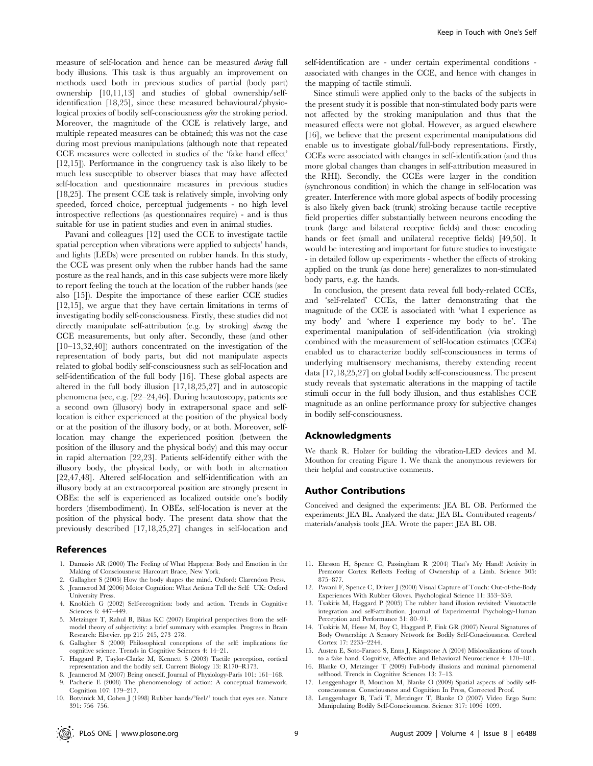measure of self-location and hence can be measured *during* full body illusions. This task is thus arguably an improvement on methods used both in previous studies of partial (body part) ownership [10,11,13] and studies of global ownership/selfidentification [18,25], since these measured behavioural/physiological proxies of bodily self-consciousness *after* the stroking period. Moreover, the magnitude of the CCE is relatively large, and multiple repeated measures can be obtained; this was not the case during most previous manipulations (although note that repeated CCE measures were collected in studies of the 'fake hand effect' [12,15]). Performance in the congruency task is also likely to be much less susceptible to observer biases that may have affected self-location and questionnaire measures in previous studies [18,25]. The present CCE task is relatively simple, involving only speeded, forced choice, perceptual judgements - no high level introspective reflections (as questionnaires require) - and is thus suitable for use in patient studies and even in animal studies.

Pavani and colleagues [12] used the CCE to investigate tactile spatial perception when vibrations were applied to subjects' hands, and lights (LEDs) were presented on rubber hands. In this study, the CCE was present only when the rubber hands had the same posture as the real hands, and in this case subjects were more likely to report feeling the touch at the location of the rubber hands (see also [15]). Despite the importance of these earlier CCE studies [12,15], we argue that they have certain limitations in terms of investigating bodily self-consciousness. Firstly, these studies did not directly manipulate self-attribution (e.g. by stroking) during the CCE measurements, but only after. Secondly, these (and other [10–13,32,40]) authors concentrated on the investigation of the representation of body parts, but did not manipulate aspects related to global bodily self-consciousness such as self-location and self-identification of the full body [16]. These global aspects are altered in the full body illusion [17,18,25,27] and in autoscopic phenomena (see, e.g. [22–24,46]. During heautoscopy, patients see a second own (illusory) body in extrapersonal space and selflocation is either experienced at the position of the physical body or at the position of the illusory body, or at both. Moreover, selflocation may change the experienced position (between the position of the illusory and the physical body) and this may occur in rapid alternation [22,23]. Patients self-identify either with the illusory body, the physical body, or with both in alternation [22,47,48]. Altered self-location and self-identification with an illusory body at an extracorporeal position are strongly present in OBEs: the self is experienced as localized outside one's bodily borders (disembodiment). In OBEs, self-location is never at the position of the physical body. The present data show that the previously described [17,18,25,27] changes in self-location and

#### References

- 1. Damasio AR (2000) The Feeling of What Happens: Body and Emotion in the Making of Consciousness: Harcourt Brace, New York.
- 2. Gallagher S (2005) How the body shapes the mind. Oxford: Clarendon Press.
- 3. Jeannerod M (2006) Motor Cognition: What Actions Tell the Self: UK: Oxford University Press.
- 4. Knoblich G (2002) Self-recognition: body and action. Trends in Cognitive Sciences 6: 447–449.
- 5. Metzinger T, Rahul B, Bikas KC (2007) Empirical perspectives from the selfmodel theory of subjectivity: a brief summary with examples. Progress in Brain Research: Elsevier. pp 215–245, 273–278.
- 6. Gallagher S (2000) Philosophical conceptions of the self: implications for cognitive science. Trends in Cognitive Sciences 4: 14–21.
- 7. Haggard P, Taylor-Clarke M, Kennett S (2003) Tactile perception, cortical representation and the bodily self. Current Biology 13: R170–R173.
- 8. Jeannerod M (2007) Being oneself. Journal of Physiology-Paris 101: 161–168.
- 9. Pacherie E (2008) The phenomenology of action: A conceptual framework. Cognition 107: 179–217.
- 10. Botvinick M, Cohen J (1998) Rubber hands/'feel/' touch that eyes see. Nature 391: 756–756.

self-identification are - under certain experimental conditions associated with changes in the CCE, and hence with changes in the mapping of tactile stimuli.

Since stimuli were applied only to the backs of the subjects in the present study it is possible that non-stimulated body parts were not affected by the stroking manipulation and thus that the measured effects were not global. However, as argued elsewhere [16], we believe that the present experimental manipulations did enable us to investigate global/full-body representations. Firstly, CCEs were associated with changes in self-identification (and thus more global changes than changes in self-attribution measured in the RHI). Secondly, the CCEs were larger in the condition (synchronous condition) in which the change in self-location was greater. Interference with more global aspects of bodily processing is also likely given back (trunk) stroking because tactile receptive field properties differ substantially between neurons encoding the trunk (large and bilateral receptive fields) and those encoding hands or feet (small and unilateral receptive fields) [49,50]. It would be interesting and important for future studies to investigate - in detailed follow up experiments - whether the effects of stroking applied on the trunk (as done here) generalizes to non-stimulated body parts, e.g. the hands.

In conclusion, the present data reveal full body-related CCEs, and 'self-related' CCEs, the latter demonstrating that the magnitude of the CCE is associated with 'what I experience as my body' and 'where I experience my body to be'. The experimental manipulation of self-identification (via stroking) combined with the measurement of self-location estimates (CCEs) enabled us to characterize bodily self-consciousness in terms of underlying multisensory mechanisms, thereby extending recent data [17,18,25,27] on global bodily self-consciousness. The present study reveals that systematic alterations in the mapping of tactile stimuli occur in the full body illusion, and thus establishes CCE magnitude as an online performance proxy for subjective changes in bodily self-consciousness.

#### Acknowledgments

We thank R. Holzer for building the vibration-LED devices and M. Mouthon for creating Figure 1. We thank the anonymous reviewers for their helpful and constructive comments.

#### Author Contributions

Conceived and designed the experiments: JEA BL OB. Performed the experiments: JEA BL. Analyzed the data: JEA BL. Contributed reagents/ materials/analysis tools: JEA. Wrote the paper: JEA BL OB.

- 11. Ehrsson H, Spence C, Passingham R (2004) That's My Hand! Activity in Premotor Cortex Reflects Feeling of Ownership of a Limb. Science 305: 875–877.
- 12. Pavani F, Spence C, Driver J (2000) Visual Capture of Touch: Out-of-the-Body Experiences With Rubber Gloves. Psychological Science 11: 353–359.
- 13. Tsakiris M, Haggard P (2005) The rubber hand illusion revisited: Visuotactile integration and self-attribution. Journal of Experimental Psychology-Human Perception and Performance 31: 80–91.
- 14. Tsakiris M, Hesse M, Boy C, Haggard P, Fink GR (2007) Neural Signatures of Body Ownership: A Sensory Network for Bodily Self-Consciousness. Cerebral Cortex 17: 2235–2244.
- 15. Austen E, Soto-Faraco S, Enns J, Kingstone A (2004) Mislocalizations of touch to a fake hand. Cognitive, Affective and Behavioral Neuroscience 4: 170–181.
- 16. Blanke O, Metzinger T (2009) Full-body illusions and minimal phenomenal selfhood. Trends in Cognitive Sciences 13: 7–13.
- 17. Lenggenhager B, Mouthon M, Blanke O (2009) Spatial aspects of bodily selfconsciousness. Consciousness and Cognition In Press, Corrected Proof.
- 18. Lenggenhager B, Tadi T, Metzinger T, Blanke O (2007) Video Ergo Sum: Manipulating Bodily Self-Consciousness. Science 317: 1096–1099.